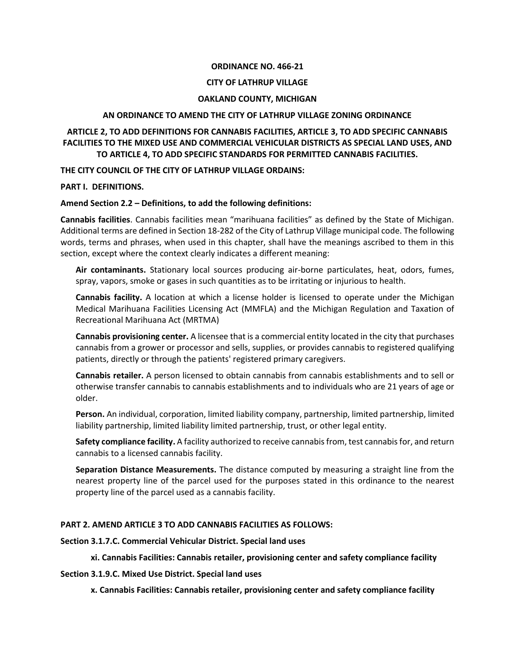#### **ORDINANCE NO. 466-21**

#### **CITY OF LATHRUP VILLAGE**

#### **OAKLAND COUNTY, MICHIGAN**

#### **AN ORDINANCE TO AMEND THE CITY OF LATHRUP VILLAGE ZONING ORDINANCE**

## **ARTICLE 2, TO ADD DEFINITIONS FOR CANNABIS FACILITIES, ARTICLE 3, TO ADD SPECIFIC CANNABIS FACILITIES TO THE MIXED USE AND COMMERCIAL VEHICULAR DISTRICTS AS SPECIAL LAND USES, AND TO ARTICLE 4, TO ADD SPECIFIC STANDARDS FOR PERMITTED CANNABIS FACILITIES.**

**THE CITY COUNCIL OF THE CITY OF LATHRUP VILLAGE ORDAINS:**

#### **PART I. DEFINITIONS.**

#### **Amend Section 2.2 – Definitions, to add the following definitions:**

**Cannabis facilities**. Cannabis facilities mean "marihuana facilities" as defined by the State of Michigan. Additional terms are defined in Section 18-282 of the City of Lathrup Village municipal code. The following words, terms and phrases, when used in this chapter, shall have the meanings ascribed to them in this section, except where the context clearly indicates a different meaning:

**Air contaminants.** Stationary local sources producing air-borne particulates, heat, odors, fumes, spray, vapors, smoke or gases in such quantities as to be irritating or injurious to health.

**Cannabis facility.** A location at which a license holder is licensed to operate under the Michigan Medical Marihuana Facilities Licensing Act (MMFLA) and the Michigan Regulation and Taxation of Recreational Marihuana Act (MRTMA)

**Cannabis provisioning center.** A licensee that is a commercial entity located in the city that purchases cannabis from a grower or processor and sells, supplies, or provides cannabis to registered qualifying patients, directly or through the patients' registered primary caregivers.

**Cannabis retailer.** A person licensed to obtain cannabis from cannabis establishments and to sell or otherwise transfer cannabis to cannabis establishments and to individuals who are 21 years of age or older.

**Person.** An individual, corporation, limited liability company, partnership, limited partnership, limited liability partnership, limited liability limited partnership, trust, or other legal entity.

**Safety compliance facility.** A facility authorized to receive cannabisfrom, test cannabisfor, and return cannabis to a licensed cannabis facility.

**Separation Distance Measurements.** The distance computed by measuring a straight line from the nearest property line of the parcel used for the purposes stated in this ordinance to the nearest property line of the parcel used as a cannabis facility.

## **PART 2. AMEND ARTICLE 3 TO ADD CANNABIS FACILITIES AS FOLLOWS:**

#### **Section 3.1.7.C. Commercial Vehicular District. Special land uses**

## **xi. Cannabis Facilities: Cannabis retailer, provisioning center and safety compliance facility**

#### **Section 3.1.9.C. Mixed Use District. Special land uses**

**x. Cannabis Facilities: Cannabis retailer, provisioning center and safety compliance facility**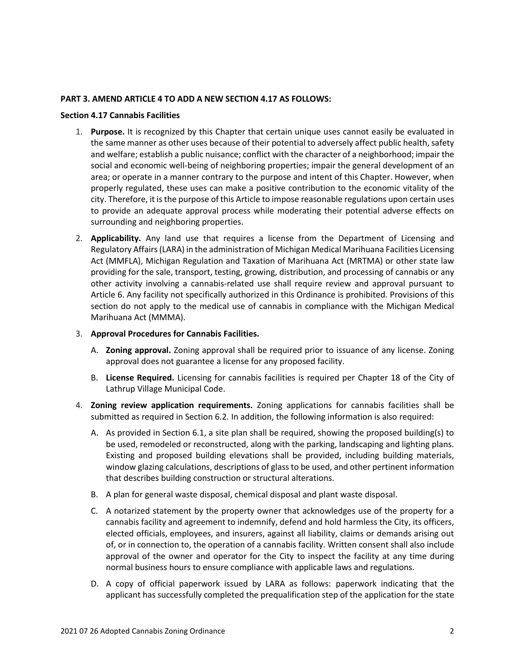#### **PART 3. AMEND ARTICLE 4 TO ADD A NEW SECTION 4.17 AS FOLLOWS:**

#### **Section 4.17 Cannabis Facilities**

- 1. **Purpose.** It is recognized by this Chapter that certain unique uses cannot easily be evaluated in the same manner as other uses because of their potential to adversely affect public health, safety and welfare; establish a public nuisance; conflict with the character of a neighborhood; impair the social and economic well-being of neighboring properties; impair the general development of an area; or operate in a manner contrary to the purpose and intent of this Chapter. However, when properly regulated, these uses can make a positive contribution to the economic vitality of the city. Therefore, it is the purpose of this Article to impose reasonable regulations upon certain uses to provide an adequate approval process while moderating their potential adverse effects on surrounding and neighboring properties.
- 2. **Applicability.** Any land use that requires a license from the Department of Licensing and Regulatory Affairs (LARA) in the administration of Michigan Medical Marihuana Facilities Licensing Act (MMFLA), Michigan Regulation and Taxation of Marihuana Act (MRTMA) or other state law providing for the sale, transport, testing, growing, distribution, and processing of cannabis or any other activity involving a cannabis-related use shall require review and approval pursuant to Article 6. Any facility not specifically authorized in this Ordinance is prohibited. Provisions of this section do not apply to the medical use of cannabis in compliance with the Michigan Medical Marihuana Act (MMMA).
- 3. **Approval Procedures for Cannabis Facilities.**
	- A. **Zoning approval.** Zoning approval shall be required prior to issuance of any license. Zoning approval does not guarantee a license for any proposed facility.
	- B. **License Required.** Licensing for cannabis facilities is required per Chapter 18 of the City of Lathrup Village Municipal Code.
- 4. **Zoning review application requirements.** Zoning applications for cannabis facilities shall be submitted as required in Section 6.2. In addition, the following information is also required:
	- A. As provided in Section 6.1, a site plan shall be required, showing the proposed building(s) to be used, remodeled or reconstructed, along with the parking, landscaping and lighting plans. Existing and proposed building elevations shall be provided, including building materials, window glazing calculations, descriptions of glass to be used, and other pertinent information that describes building construction or structural alterations.
	- B. A plan for general waste disposal, chemical disposal and plant waste disposal.
	- C. A notarized statement by the property owner that acknowledges use of the property for a cannabis facility and agreement to indemnify, defend and hold harmless the City, its officers, elected officials, employees, and insurers, against all liability, claims or demands arising out of, or in connection to, the operation of a cannabis facility. Written consent shall also include approval of the owner and operator for the City to inspect the facility at any time during normal business hours to ensure compliance with applicable laws and regulations.
	- D. A copy of official paperwork issued by LARA as follows: paperwork indicating that the applicant has successfully completed the prequalification step of the application for the state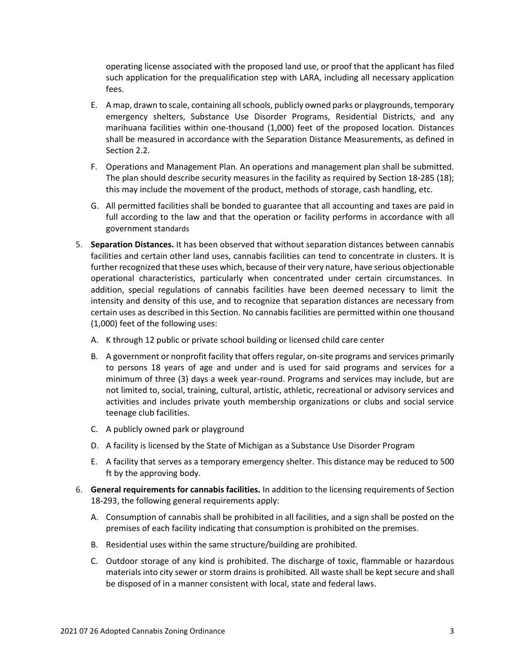operating license associated with the proposed land use, or proof that the applicant has filed such application for the prequalification step with LARA, including all necessary application fees.

- E. A map, drawn to scale, containing all schools, publicly owned parks or playgrounds, temporary emergency shelters, Substance Use Disorder Programs, Residential Districts, and any marihuana facilities within one-thousand (1,000) feet of the proposed location. Distances shall be measured in accordance with the Separation Distance Measurements, as defined in Section 2.2.
- F. Operations and Management Plan. An operations and management plan shall be submitted. The plan should describe security measures in the facility as required by Section 18-285 (18); this may include the movement of the product, methods of storage, cash handling, etc.
- G. All permitted facilities shall be bonded to guarantee that all accounting and taxes are paid in full according to the law and that the operation or facility performs in accordance with all government standards
- 5. **Separation Distances.** It has been observed that without separation distances between cannabis facilities and certain other land uses, cannabis facilities can tend to concentrate in clusters. It is further recognized that these uses which, because of their very nature, have serious objectionable operational characteristics, particularly when concentrated under certain circumstances. In addition, special regulations of cannabis facilities have been deemed necessary to limit the intensity and density of this use, and to recognize that separation distances are necessary from certain uses as described in this Section. No cannabis facilities are permitted within one thousand (1,000) feet of the following uses:
	- A. K through 12 public or private school building or licensed child care center
	- B. A government or nonprofit facility that offers regular, on-site programs and services primarily to persons 18 years of age and under and is used for said programs and services for a minimum of three (3) days a week year-round. Programs and services may include, but are not limited to, social, training, cultural, artistic, athletic, recreational or advisory services and activities and includes private youth membership organizations or clubs and social service teenage club facilities.
	- C. A publicly owned park or playground
	- D. A facility is licensed by the State of Michigan as a Substance Use Disorder Program
	- E. A facility that serves as a temporary emergency shelter. This distance may be reduced to 500 ft by the approving body.
- 6. **General requirements for cannabis facilities.** In addition to the licensing requirements of Section 18-293, the following general requirements apply:
	- A. Consumption of cannabis shall be prohibited in all facilities, and a sign shall be posted on the premises of each facility indicating that consumption is prohibited on the premises.
	- B. Residential uses within the same structure/building are prohibited.
	- C. Outdoor storage of any kind is prohibited. The discharge of toxic, flammable or hazardous materials into city sewer or storm drains is prohibited. All waste shall be kept secure and shall be disposed of in a manner consistent with local, state and federal laws.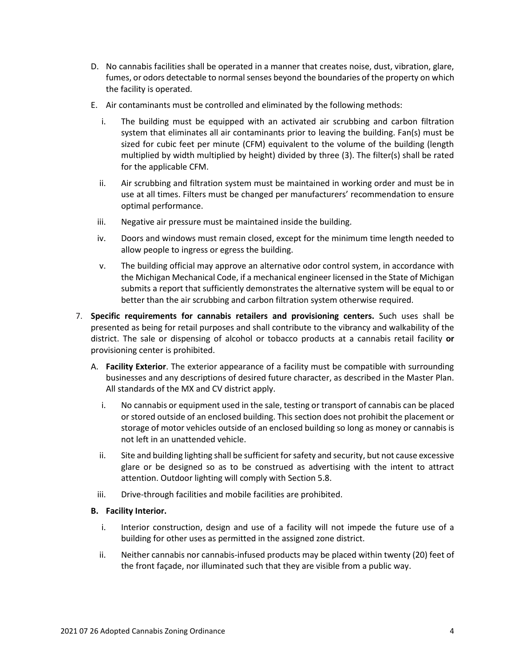- D. No cannabis facilities shall be operated in a manner that creates noise, dust, vibration, glare, fumes, or odors detectable to normal senses beyond the boundaries of the property on which the facility is operated.
- E. Air contaminants must be controlled and eliminated by the following methods:
	- i. The building must be equipped with an activated air scrubbing and carbon filtration system that eliminates all air contaminants prior to leaving the building. Fan(s) must be sized for cubic feet per minute (CFM) equivalent to the volume of the building (length multiplied by width multiplied by height) divided by three (3). The filter(s) shall be rated for the applicable CFM.
	- ii. Air scrubbing and filtration system must be maintained in working order and must be in use at all times. Filters must be changed per manufacturers' recommendation to ensure optimal performance.
	- iii. Negative air pressure must be maintained inside the building.
	- iv. Doors and windows must remain closed, except for the minimum time length needed to allow people to ingress or egress the building.
	- v. The building official may approve an alternative odor control system, in accordance with the Michigan Mechanical Code, if a mechanical engineer licensed in the State of Michigan submits a report that sufficiently demonstrates the alternative system will be equal to or better than the air scrubbing and carbon filtration system otherwise required.
- 7. **Specific requirements for cannabis retailers and provisioning centers.** Such uses shall be presented as being for retail purposes and shall contribute to the vibrancy and walkability of the district. The sale or dispensing of alcohol or tobacco products at a cannabis retail facility **or**  provisioning center is prohibited.
	- A. **Facility Exterior**. The exterior appearance of a facility must be compatible with surrounding businesses and any descriptions of desired future character, as described in the Master Plan. All standards of the MX and CV district apply.
		- i. No cannabis or equipment used in the sale, testing or transport of cannabis can be placed or stored outside of an enclosed building. This section does not prohibit the placement or storage of motor vehicles outside of an enclosed building so long as money or cannabis is not left in an unattended vehicle.
		- ii. Site and building lighting shall be sufficient for safety and security, but not cause excessive glare or be designed so as to be construed as advertising with the intent to attract attention. Outdoor lighting will comply with Section 5.8.
		- iii. Drive-through facilities and mobile facilities are prohibited.

# **B. Facility Interior.**

- i. Interior construction, design and use of a facility will not impede the future use of a building for other uses as permitted in the assigned zone district.
- ii. Neither cannabis nor cannabis-infused products may be placed within twenty (20) feet of the front façade, nor illuminated such that they are visible from a public way.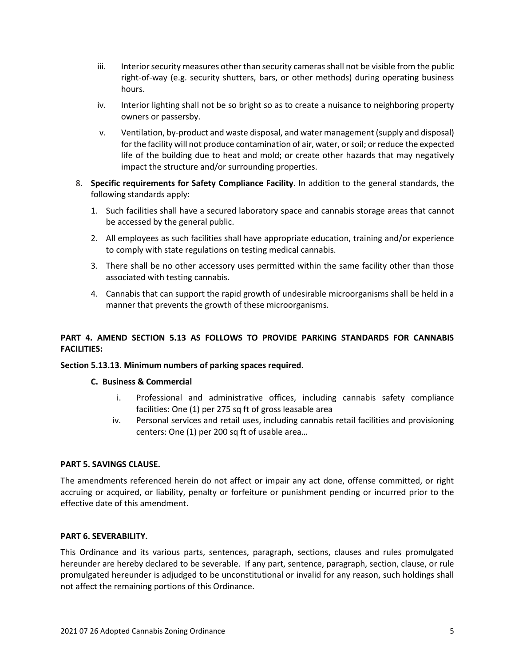- iii. Interior security measures other than security cameras shall not be visible from the public right-of-way (e.g. security shutters, bars, or other methods) during operating business hours.
- iv. Interior lighting shall not be so bright so as to create a nuisance to neighboring property owners or passersby.
- v. Ventilation, by-product and waste disposal, and water management (supply and disposal) for the facility will not produce contamination of air, water, or soil; or reduce the expected life of the building due to heat and mold; or create other hazards that may negatively impact the structure and/or surrounding properties.
- 8. **Specific requirements for Safety Compliance Facility**. In addition to the general standards, the following standards apply:
	- 1. Such facilities shall have a secured laboratory space and cannabis storage areas that cannot be accessed by the general public.
	- 2. All employees as such facilities shall have appropriate education, training and/or experience to comply with state regulations on testing medical cannabis.
	- 3. There shall be no other accessory uses permitted within the same facility other than those associated with testing cannabis.
	- 4. Cannabis that can support the rapid growth of undesirable microorganisms shall be held in a manner that prevents the growth of these microorganisms.

# **PART 4. AMEND SECTION 5.13 AS FOLLOWS TO PROVIDE PARKING STANDARDS FOR CANNABIS FACILITIES:**

## **Section 5.13.13. Minimum numbers of parking spaces required.**

## **C. Business & Commercial**

- i. Professional and administrative offices, including cannabis safety compliance facilities: One (1) per 275 sq ft of gross leasable area
- iv. Personal services and retail uses, including cannabis retail facilities and provisioning centers: One (1) per 200 sq ft of usable area…

## **PART 5. SAVINGS CLAUSE.**

The amendments referenced herein do not affect or impair any act done, offense committed, or right accruing or acquired, or liability, penalty or forfeiture or punishment pending or incurred prior to the effective date of this amendment.

## **PART 6. SEVERABILITY.**

This Ordinance and its various parts, sentences, paragraph, sections, clauses and rules promulgated hereunder are hereby declared to be severable. If any part, sentence, paragraph, section, clause, or rule promulgated hereunder is adjudged to be unconstitutional or invalid for any reason, such holdings shall not affect the remaining portions of this Ordinance.